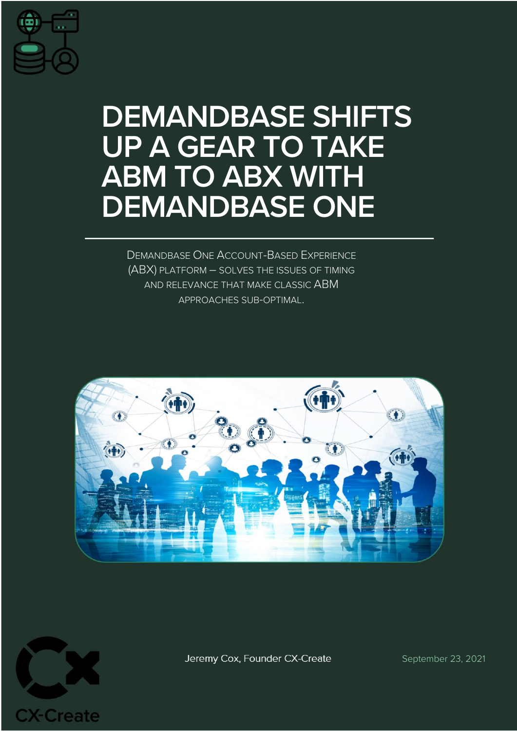

# **DEMANDBASE SHIFTS UP A GEAR TO TAKE ABM TO ABX WITH DEMANDBASE ONE**

DEMANDBASE ONE ACCOUNT-BASED EXPERIENCE (ABX) PLATFORM – SOLVES THE ISSUES OF TIMING AND RELEVANCE THAT MAKE CLASSIC ABM APPROACHES SUB-OPTIMAL.





Jeremy Cox, Founder CX-Create

September 23, 2021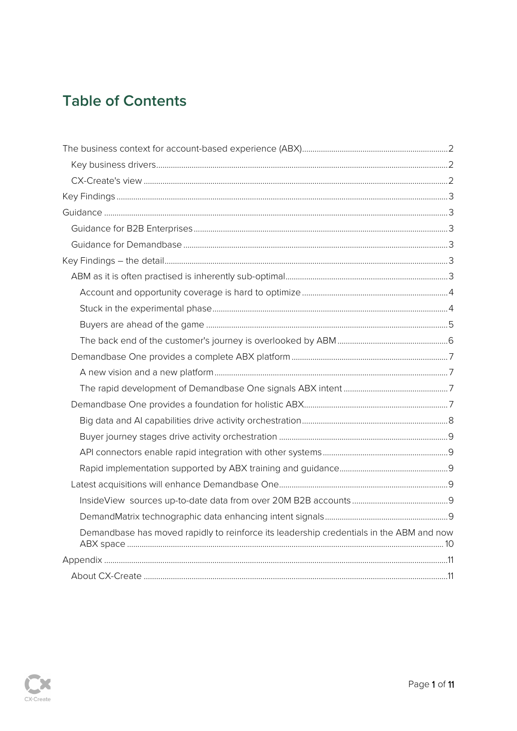# **Table of Contents**

| Demandbase has moved rapidly to reinforce its leadership credentials in the ABM and now |  |
|-----------------------------------------------------------------------------------------|--|
|                                                                                         |  |
|                                                                                         |  |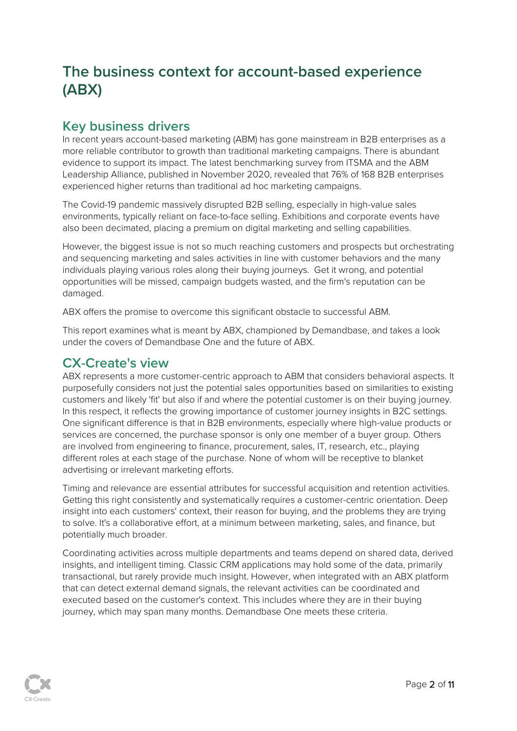# <span id="page-2-0"></span>**The business context for account-based experience (ABX)**

# <span id="page-2-1"></span>**Key business drivers**

In recent years account-based marketing (ABM) has gone mainstream in B2B enterprises as a more reliable contributor to growth than traditional marketing campaigns. There is abundant evidence to support its impact. The latest benchmarking survey from ITSMA and the ABM Leadership Alliance, published in November 2020, revealed that 76% of 168 B2B enterprises experienced higher returns than traditional ad hoc marketing campaigns.

The Covid-19 pandemic massively disrupted B2B selling, especially in high-value sales environments, typically reliant on face-to-face selling. Exhibitions and corporate events have also been decimated, placing a premium on digital marketing and selling capabilities.

However, the biggest issue is not so much reaching customers and prospects but orchestrating and sequencing marketing and sales activities in line with customer behaviors and the many individuals playing various roles along their buying journeys. Get it wrong, and potential opportunities will be missed, campaign budgets wasted, and the firm's reputation can be damaged.

ABX offers the promise to overcome this significant obstacle to successful ABM.

This report examines what is meant by ABX, championed by Demandbase, and takes a look under the covers of Demandbase One and the future of ABX.

### <span id="page-2-2"></span>**CX-Create's view**

ABX represents a more customer-centric approach to ABM that considers behavioral aspects. It purposefully considers not just the potential sales opportunities based on similarities to existing customers and likely 'fit' but also if and where the potential customer is on their buying journey. In this respect, it reflects the growing importance of customer journey insights in B2C settings. One significant difference is that in B2B environments, especially where high-value products or services are concerned, the purchase sponsor is only one member of a buyer group. Others are involved from engineering to finance, procurement, sales, IT, research, etc., playing different roles at each stage of the purchase. None of whom will be receptive to blanket advertising or irrelevant marketing efforts.

Timing and relevance are essential attributes for successful acquisition and retention activities. Getting this right consistently and systematically requires a customer-centric orientation. Deep insight into each customers' context, their reason for buying, and the problems they are trying to solve. It's a collaborative effort, at a minimum between marketing, sales, and finance, but potentially much broader.

Coordinating activities across multiple departments and teams depend on shared data, derived insights, and intelligent timing. Classic CRM applications may hold some of the data, primarily transactional, but rarely provide much insight. However, when integrated with an ABX platform that can detect external demand signals, the relevant activities can be coordinated and executed based on the customer's context. This includes where they are in their buying journey, which may span many months. Demandbase One meets these criteria.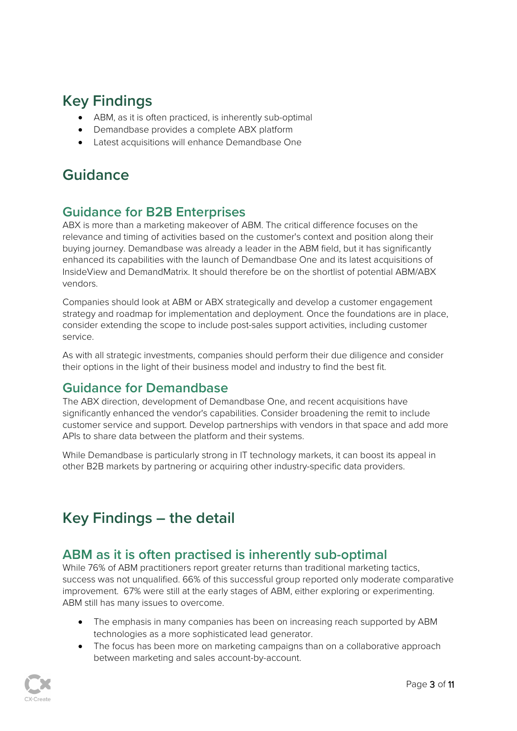# <span id="page-3-0"></span>**Key Findings**

- ABM, as it is often practiced, is inherently sub-optimal
- Demandbase provides a complete ABX platform
- Latest acquisitions will enhance Demandbase One

# <span id="page-3-1"></span>**Guidance**

# <span id="page-3-2"></span>**Guidance for B2B Enterprises**

ABX is more than a marketing makeover of ABM. The critical difference focuses on the relevance and timing of activities based on the customer's context and position along their buying journey. Demandbase was already a leader in the ABM field, but it has significantly enhanced its capabilities with the launch of Demandbase One and its latest acquisitions of InsideView and DemandMatrix. It should therefore be on the shortlist of potential ABM/ABX vendors.

Companies should look at ABM or ABX strategically and develop a customer engagement strategy and roadmap for implementation and deployment. Once the foundations are in place, consider extending the scope to include post-sales support activities, including customer service.

As with all strategic investments, companies should perform their due diligence and consider their options in the light of their business model and industry to find the best fit.

# <span id="page-3-3"></span>**Guidance for Demandbase**

The ABX direction, development of Demandbase One, and recent acquisitions have significantly enhanced the vendor's capabilities. Consider broadening the remit to include customer service and support. Develop partnerships with vendors in that space and add more APIs to share data between the platform and their systems.

While Demandbase is particularly strong in IT technology markets, it can boost its appeal in other B2B markets by partnering or acquiring other industry-specific data providers.

# <span id="page-3-4"></span>**Key Findings – the detail**

# <span id="page-3-5"></span>**ABM as it is often practised is inherently sub-optimal**

While 76% of ABM practitioners report greater returns than traditional marketing tactics, success was not unqualified. 66% of this successful group reported only moderate comparative improvement. 67% were still at the early stages of ABM, either exploring or experimenting. ABM still has many issues to overcome.

- The emphasis in many companies has been on increasing reach supported by ABM technologies as a more sophisticated lead generator.
- The focus has been more on marketing campaigns than on a collaborative approach between marketing and sales account-by-account.

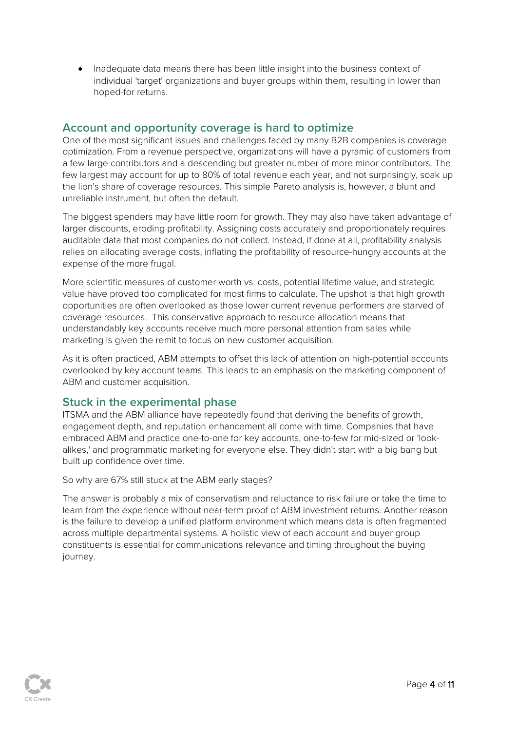• Inadequate data means there has been little insight into the business context of individual 'target' organizations and buyer groups within them, resulting in lower than hoped-for returns.

### <span id="page-4-0"></span>**Account and opportunity coverage is hard to optimize**

One of the most significant issues and challenges faced by many B2B companies is coverage optimization. From a revenue perspective, organizations will have a pyramid of customers from a few large contributors and a descending but greater number of more minor contributors. The few largest may account for up to 80% of total revenue each year, and not surprisingly, soak up the lion's share of coverage resources. This simple Pareto analysis is, however, a blunt and unreliable instrument, but often the default.

The biggest spenders may have little room for growth. They may also have taken advantage of larger discounts, eroding profitability. Assigning costs accurately and proportionately requires auditable data that most companies do not collect. Instead, if done at all, profitability analysis relies on allocating average costs, inflating the profitability of resource-hungry accounts at the expense of the more frugal.

More scientific measures of customer worth vs. costs, potential lifetime value, and strategic value have proved too complicated for most firms to calculate. The upshot is that high growth opportunities are often overlooked as those lower current revenue performers are starved of coverage resources. This conservative approach to resource allocation means that understandably key accounts receive much more personal attention from sales while marketing is given the remit to focus on new customer acquisition.

As it is often practiced, ABM attempts to offset this lack of attention on high-potential accounts overlooked by key account teams. This leads to an emphasis on the marketing component of ABM and customer acquisition.

#### <span id="page-4-1"></span>**Stuck in the experimental phase**

ITSMA and the ABM alliance have repeatedly found that deriving the benefits of growth, engagement depth, and reputation enhancement all come with time. Companies that have embraced ABM and practice one-to-one for key accounts, one-to-few for mid-sized or 'lookalikes,' and programmatic marketing for everyone else. They didn't start with a big bang but built up confidence over time.

So why are 67% still stuck at the ABM early stages?

The answer is probably a mix of conservatism and reluctance to risk failure or take the time to learn from the experience without near-term proof of ABM investment returns. Another reason is the failure to develop a unified platform environment which means data is often fragmented across multiple departmental systems. A holistic view of each account and buyer group constituents is essential for communications relevance and timing throughout the buying journey.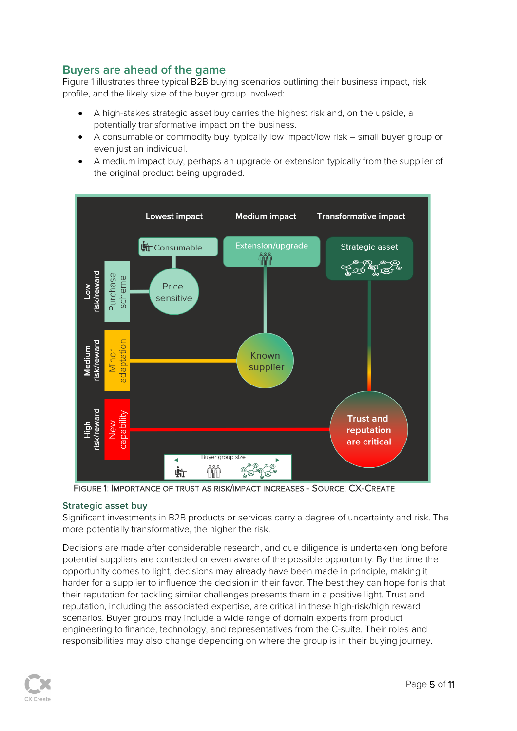### <span id="page-5-0"></span>**Buyers are ahead of the game**

Figure 1 illustrates three typical B2B buying scenarios outlining their business impact, risk profile, and the likely size of the buyer group involved:

- A high-stakes strategic asset buy carries the highest risk and, on the upside, a potentially transformative impact on the business.
- A consumable or commodity buy, typically low impact/low risk small buyer group or even just an individual.
- A medium impact buy, perhaps an upgrade or extension typically from the supplier of the original product being upgraded.



FIGURE 1: IMPORTANCE OF TRUST AS RISK/IMPACT INCREASES - SOURCE: CX-CREATE

#### **Strategic asset buy**

Significant investments in B2B products or services carry a degree of uncertainty and risk. The more potentially transformative, the higher the risk.

Decisions are made after considerable research, and due diligence is undertaken long before potential suppliers are contacted or even aware of the possible opportunity. By the time the opportunity comes to light, decisions may already have been made in principle, making it harder for a supplier to influence the decision in their favor. The best they can hope for is that their reputation for tackling similar challenges presents them in a positive light. Trust and reputation, including the associated expertise, are critical in these high-risk/high reward scenarios. Buyer groups may include a wide range of domain experts from product engineering to finance, technology, and representatives from the C-suite. Their roles and responsibilities may also change depending on where the group is in their buying journey.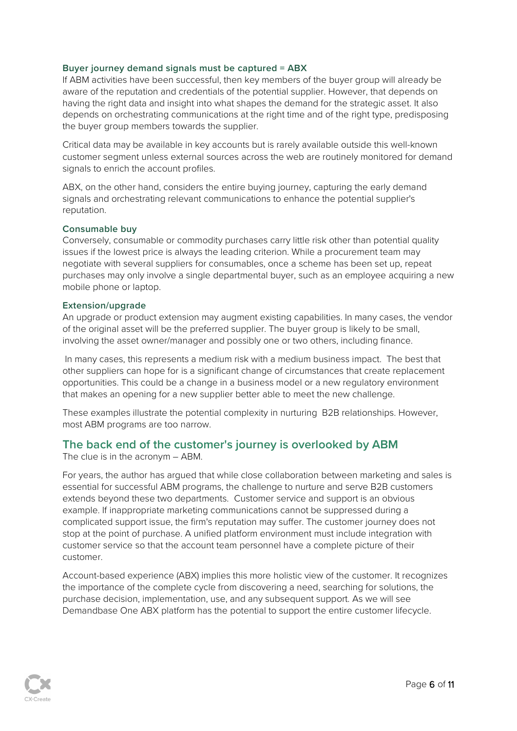#### **Buyer journey demand signals must be captured = ABX**

If ABM activities have been successful, then key members of the buyer group will already be aware of the reputation and credentials of the potential supplier. However, that depends on having the right data and insight into what shapes the demand for the strategic asset. It also depends on orchestrating communications at the right time and of the right type, predisposing the buyer group members towards the supplier.

Critical data may be available in key accounts but is rarely available outside this well-known customer segment unless external sources across the web are routinely monitored for demand signals to enrich the account profiles.

ABX, on the other hand, considers the entire buying journey, capturing the early demand signals and orchestrating relevant communications to enhance the potential supplier's reputation.

#### **Consumable buy**

Conversely, consumable or commodity purchases carry little risk other than potential quality issues if the lowest price is always the leading criterion. While a procurement team may negotiate with several suppliers for consumables, once a scheme has been set up, repeat purchases may only involve a single departmental buyer, such as an employee acquiring a new mobile phone or laptop.

#### **Extension/upgrade**

An upgrade or product extension may augment existing capabilities. In many cases, the vendor of the original asset will be the preferred supplier. The buyer group is likely to be small, involving the asset owner/manager and possibly one or two others, including finance.

In many cases, this represents a medium risk with a medium business impact. The best that other suppliers can hope for is a significant change of circumstances that create replacement opportunities. This could be a change in a business model or a new regulatory environment that makes an opening for a new supplier better able to meet the new challenge.

These examples illustrate the potential complexity in nurturing B2B relationships. However, most ABM programs are too narrow.

#### <span id="page-6-0"></span>**The back end of the customer's journey is overlooked by ABM**

The clue is in the acronym – ABM.

For years, the author has argued that while close collaboration between marketing and sales is essential for successful ABM programs, the challenge to nurture and serve B2B customers extends beyond these two departments. Customer service and support is an obvious example. If inappropriate marketing communications cannot be suppressed during a complicated support issue, the firm's reputation may suffer. The customer journey does not stop at the point of purchase. A unified platform environment must include integration with customer service so that the account team personnel have a complete picture of their customer.

Account-based experience (ABX) implies this more holistic view of the customer. It recognizes the importance of the complete cycle from discovering a need, searching for solutions, the purchase decision, implementation, use, and any subsequent support. As we will see Demandbase One ABX platform has the potential to support the entire customer lifecycle.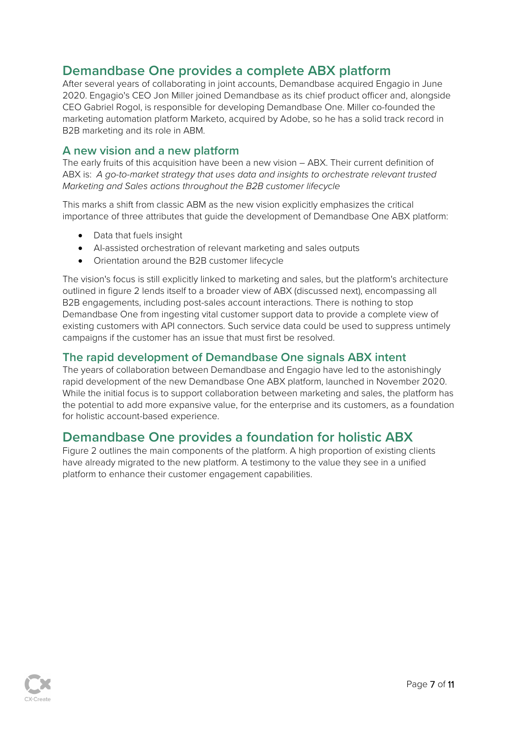# <span id="page-7-0"></span>**Demandbase One provides a complete ABX platform**

After several years of collaborating in joint accounts, Demandbase acquired Engagio in June 2020. Engagio's CEO Jon Miller joined Demandbase as its chief product officer and, alongside CEO Gabriel Rogol, is responsible for developing Demandbase One. Miller co-founded the marketing automation platform Marketo, acquired by Adobe, so he has a solid track record in B2B marketing and its role in ABM.

#### <span id="page-7-1"></span>**A new vision and a new platform**

The early fruits of this acquisition have been a new vision – ABX. Their current definition of ABX is: *A go-to-market strategy that uses data and insights to orchestrate relevant trusted Marketing and Sales actions throughout the B2B customer lifecycle*

This marks a shift from classic ABM as the new vision explicitly emphasizes the critical importance of three attributes that guide the development of Demandbase One ABX platform:

- Data that fuels insight
- AI-assisted orchestration of relevant marketing and sales outputs
- Orientation around the B2B customer lifecycle

The vision's focus is still explicitly linked to marketing and sales, but the platform's architecture outlined in figure 2 lends itself to a broader view of ABX (discussed next), encompassing all B2B engagements, including post-sales account interactions. There is nothing to stop Demandbase One from ingesting vital customer support data to provide a complete view of existing customers with API connectors. Such service data could be used to suppress untimely campaigns if the customer has an issue that must first be resolved.

#### <span id="page-7-2"></span>**The rapid development of Demandbase One signals ABX intent**

The years of collaboration between Demandbase and Engagio have led to the astonishingly rapid development of the new Demandbase One ABX platform, launched in November 2020. While the initial focus is to support collaboration between marketing and sales, the platform has the potential to add more expansive value, for the enterprise and its customers, as a foundation for holistic account-based experience.

# <span id="page-7-3"></span>**Demandbase One provides a foundation for holistic ABX**

Figure 2 outlines the main components of the platform. A high proportion of existing clients have already migrated to the new platform. A testimony to the value they see in a unified platform to enhance their customer engagement capabilities.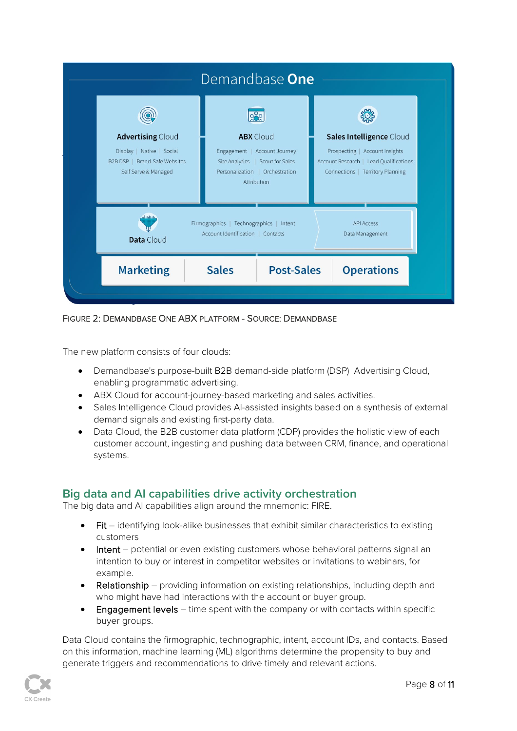

FIGURE 2: DEMANDBASE ONE ABX PLATFORM - SOURCE: DEMANDBASE

The new platform consists of four clouds:

- Demandbase's purpose-built B2B demand-side platform (DSP) Advertising Cloud, enabling programmatic advertising.
- ABX Cloud for account-journey-based marketing and sales activities.
- Sales Intelligence Cloud provides AI-assisted insights based on a synthesis of external demand signals and existing first-party data.
- Data Cloud, the B2B customer data platform (CDP) provides the holistic view of each customer account, ingesting and pushing data between CRM, finance, and operational systems.

### <span id="page-8-0"></span>**Big data and AI capabilities drive activity orchestration**

The big data and AI capabilities align around the mnemonic: FIRE.

- Fit identifying look-alike businesses that exhibit similar characteristics to existing customers
- Intent potential or even existing customers whose behavioral patterns signal an intention to buy or interest in competitor websites or invitations to webinars, for example.
- Relationship providing information on existing relationships, including depth and who might have had interactions with the account or buyer group.
- Engagement levels time spent with the company or with contacts within specific buyer groups.

Data Cloud contains the firmographic, technographic, intent, account IDs, and contacts. Based on this information, machine learning (ML) algorithms determine the propensity to buy and generate triggers and recommendations to drive timely and relevant actions.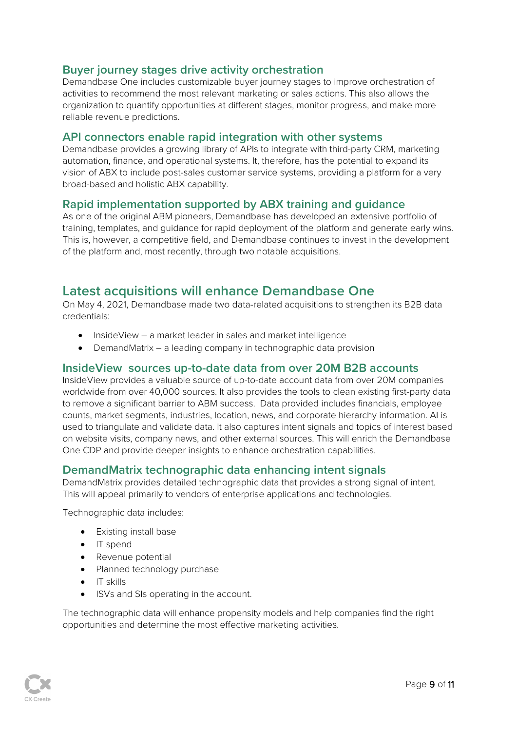#### <span id="page-9-0"></span>**Buyer journey stages drive activity orchestration**

Demandbase One includes customizable buyer journey stages to improve orchestration of activities to recommend the most relevant marketing or sales actions. This also allows the organization to quantify opportunities at different stages, monitor progress, and make more reliable revenue predictions.

#### <span id="page-9-1"></span>**API connectors enable rapid integration with other systems**

Demandbase provides a growing library of APIs to integrate with third-party CRM, marketing automation, finance, and operational systems. It, therefore, has the potential to expand its vision of ABX to include post-sales customer service systems, providing a platform for a very broad-based and holistic ABX capability.

#### <span id="page-9-2"></span>**Rapid implementation supported by ABX training and guidance**

As one of the original ABM pioneers, Demandbase has developed an extensive portfolio of training, templates, and guidance for rapid deployment of the platform and generate early wins. This is, however, a competitive field, and Demandbase continues to invest in the development of the platform and, most recently, through two notable acquisitions.

### <span id="page-9-3"></span>**Latest acquisitions will enhance Demandbase One**

On May 4, 2021, Demandbase made two data-related acquisitions to strengthen its B2B data credentials:

- InsideView a market leader in sales and market intelligence
- DemandMatrix a leading company in technographic data provision

#### <span id="page-9-4"></span>**InsideView sources up-to-date data from over 20M B2B accounts**

InsideView provides a valuable source of up-to-date account data from over 20M companies worldwide from over 40,000 sources. It also provides the tools to clean existing first-party data to remove a significant barrier to ABM success. Data provided includes financials, employee counts, market segments, industries, location, news, and corporate hierarchy information. AI is used to triangulate and validate data. It also captures intent signals and topics of interest based on website visits, company news, and other external sources. This will enrich the Demandbase One CDP and provide deeper insights to enhance orchestration capabilities.

#### <span id="page-9-5"></span>**DemandMatrix technographic data enhancing intent signals**

DemandMatrix provides detailed technographic data that provides a strong signal of intent. This will appeal primarily to vendors of enterprise applications and technologies.

Technographic data includes:

- Existing install base
- IT spend
- Revenue potential
- Planned technology purchase
- IT skills
- ISVs and SIs operating in the account.

The technographic data will enhance propensity models and help companies find the right opportunities and determine the most effective marketing activities.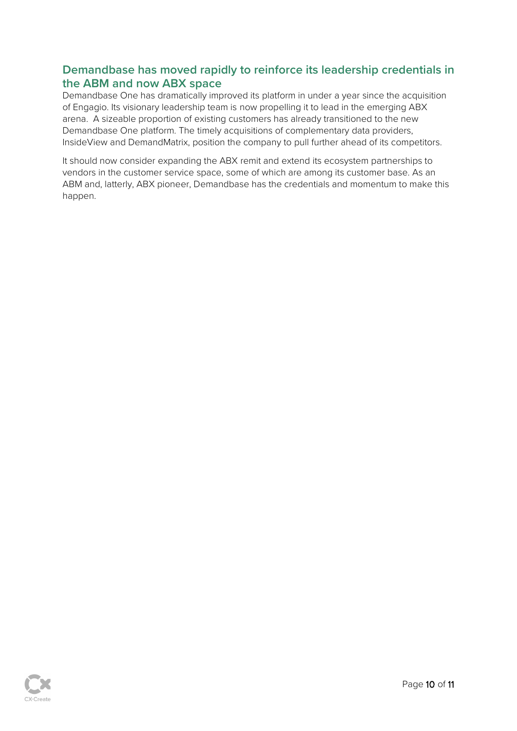### <span id="page-10-0"></span>**Demandbase has moved rapidly to reinforce its leadership credentials in the ABM and now ABX space**

Demandbase One has dramatically improved its platform in under a year since the acquisition of Engagio. Its visionary leadership team is now propelling it to lead in the emerging ABX arena. A sizeable proportion of existing customers has already transitioned to the new Demandbase One platform. The timely acquisitions of complementary data providers, InsideView and DemandMatrix, position the company to pull further ahead of its competitors.

It should now consider expanding the ABX remit and extend its ecosystem partnerships to vendors in the customer service space, some of which are among its customer base. As an ABM and, latterly, ABX pioneer, Demandbase has the credentials and momentum to make this happen.